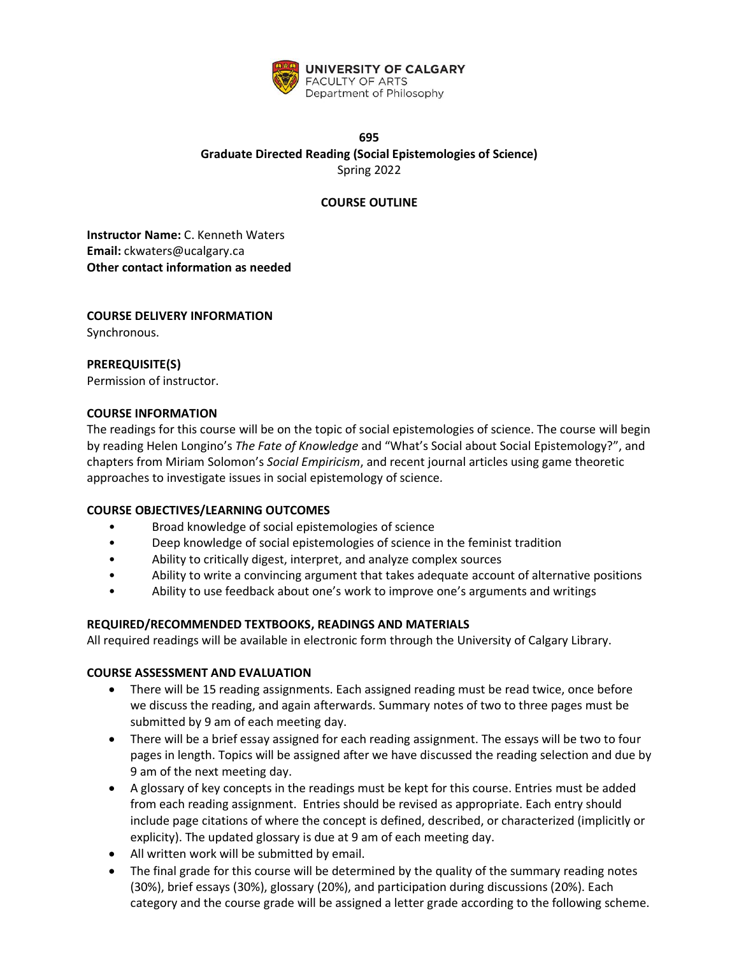

# **695 Graduate Directed Reading (Social Epistemologies of Science)** Spring 2022

# **COURSE OUTLINE**

**Instructor Name:** C. Kenneth Waters **Email:** ckwaters@ucalgary.ca **Other contact information as needed**

# **COURSE DELIVERY INFORMATION** Synchronous.

# **PREREQUISITE(S)**

Permission of instructor.

# **COURSE INFORMATION**

The readings for this course will be on the topic of social epistemologies of science. The course will begin by reading Helen Longino's *The Fate of Knowledge* and "What's Social about Social Epistemology?", and chapters from Miriam Solomon's *Social Empiricism*, and recent journal articles using game theoretic approaches to investigate issues in social epistemology of science*.* 

# **COURSE OBJECTIVES/LEARNING OUTCOMES**

- Broad knowledge of social epistemologies of science
- Deep knowledge of social epistemologies of science in the feminist tradition
- Ability to critically digest, interpret, and analyze complex sources
- Ability to write a convincing argument that takes adequate account of alternative positions
- Ability to use feedback about one's work to improve one's arguments and writings

# **REQUIRED/RECOMMENDED TEXTBOOKS, READINGS AND MATERIALS**

All required readings will be available in electronic form through the University of Calgary Library.

#### **COURSE ASSESSMENT AND EVALUATION**

- There will be 15 reading assignments. Each assigned reading must be read twice, once before we discuss the reading, and again afterwards. Summary notes of two to three pages must be submitted by 9 am of each meeting day.
- There will be a brief essay assigned for each reading assignment. The essays will be two to four pages in length. Topics will be assigned after we have discussed the reading selection and due by 9 am of the next meeting day.
- A glossary of key concepts in the readings must be kept for this course. Entries must be added from each reading assignment. Entries should be revised as appropriate. Each entry should include page citations of where the concept is defined, described, or characterized (implicitly or explicity). The updated glossary is due at 9 am of each meeting day.
- All written work will be submitted by email.
- The final grade for this course will be determined by the quality of the summary reading notes (30%), brief essays (30%), glossary (20%), and participation during discussions (20%). Each category and the course grade will be assigned a letter grade according to the following scheme.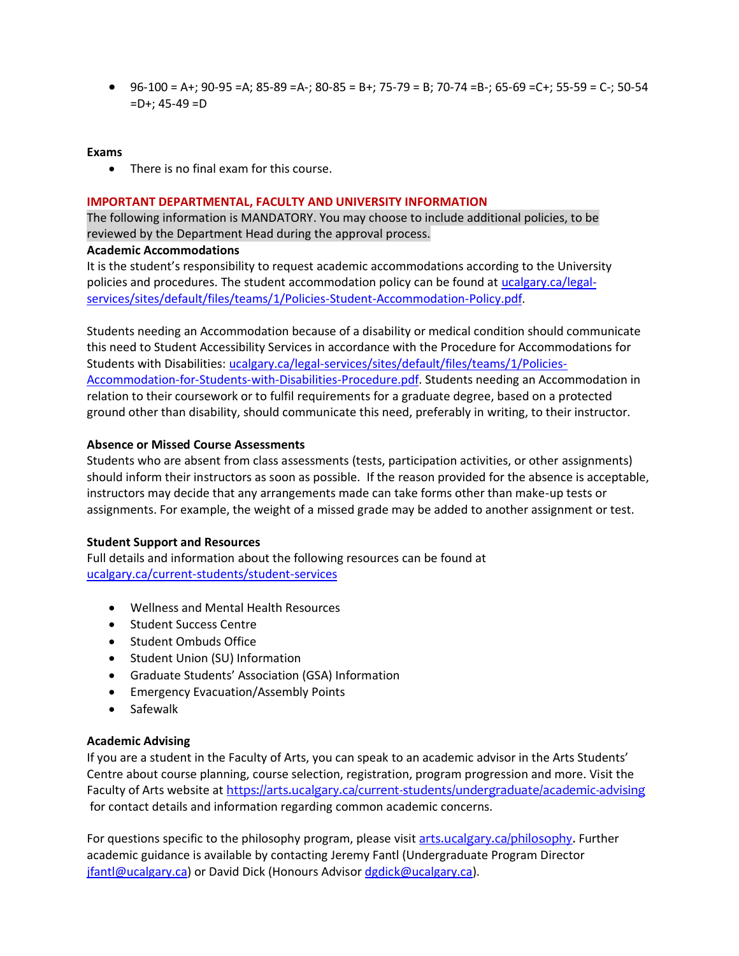• 96-100 = A+; 90-95 =A; 85-89 =A-; 80-85 = B+; 75-79 = B; 70-74 =B-; 65-69 =C+; 55-59 = C-; 50-54 =D+; 45-49 =D

### **Exams**

• There is no final exam for this course.

### **IMPORTANT DEPARTMENTAL, FACULTY AND UNIVERSITY INFORMATION**

The following information is MANDATORY. You may choose to include additional policies, to be reviewed by the Department Head during the approval process.

### **Academic Accommodations**

It is the student's responsibility to request academic accommodations according to the University policies and procedures. The student accommodation policy can be found at [ucalgary.ca/legal](http://www.ucalgary.ca/legal-services/sites/default/files/teams/1/Policies-Student-Accommodation-Policy.pdf)[services/sites/default/files/teams/1/Policies-Student-Accommodation-Policy.pdf.](http://www.ucalgary.ca/legal-services/sites/default/files/teams/1/Policies-Student-Accommodation-Policy.pdf)

Students needing an Accommodation because of a disability or medical condition should communicate this need to Student Accessibility Services in accordance with the Procedure for Accommodations for Students with Disabilities: [ucalgary.ca/legal-services/sites/default/files/teams/1/Policies-](https://www.ucalgary.ca/legal-services/sites/default/files/teams/1/Policies-Accommodation-for-Students-with-Disabilities-Procedure.pdf)[Accommodation-for-Students-with-Disabilities-Procedure.pdf.](https://www.ucalgary.ca/legal-services/sites/default/files/teams/1/Policies-Accommodation-for-Students-with-Disabilities-Procedure.pdf) Students needing an Accommodation in relation to their coursework or to fulfil requirements for a graduate degree, based on a protected ground other than disability, should communicate this need, preferably in writing, to their instructor.

# **Absence or Missed Course Assessments**

Students who are absent from class assessments (tests, participation activities, or other assignments) should inform their instructors as soon as possible. If the reason provided for the absence is acceptable, instructors may decide that any arrangements made can take forms other than make-up tests or assignments. For example, the weight of a missed grade may be added to another assignment or test.

#### **Student Support and Resources**

Full details and information about the following resources can be found at [ucalgary.ca/current-students/student-services](https://www.ucalgary.ca/current-students/student-services)

- Wellness and Mental Health Resources
- Student Success Centre
- Student Ombuds Office
- Student Union (SU) Information
- Graduate Students' Association (GSA) Information
- Emergency Evacuation/Assembly Points
- Safewalk

# **Academic Advising**

If you are a student in the Faculty of Arts, you can speak to an academic advisor in the Arts Students' Centre about course planning, course selection, registration, program progression and more. Visit the Faculty of Arts website at <https://arts.ucalgary.ca/current-students/undergraduate/academic-advising> for contact details and information regarding common academic concerns.

For questions specific to the philosophy program, please visit [arts.ucalgary.ca/philosophy.](file:///C:/Users/btclarke/AppData/Local/Microsoft/Windows/INetCache/Content.Outlook/Q3DSKIFK/arts.ucalgary.ca/philosophy) Further academic guidance is available by contacting Jeremy Fantl (Undergraduate Program Director [jfantl@ucalgary.ca\)](mailto:jfantl@ucalgary.ca) or David Dick (Honours Advisor [dgdick@ucalgary.ca\)](mailto:dgdick@ucalgary.ca).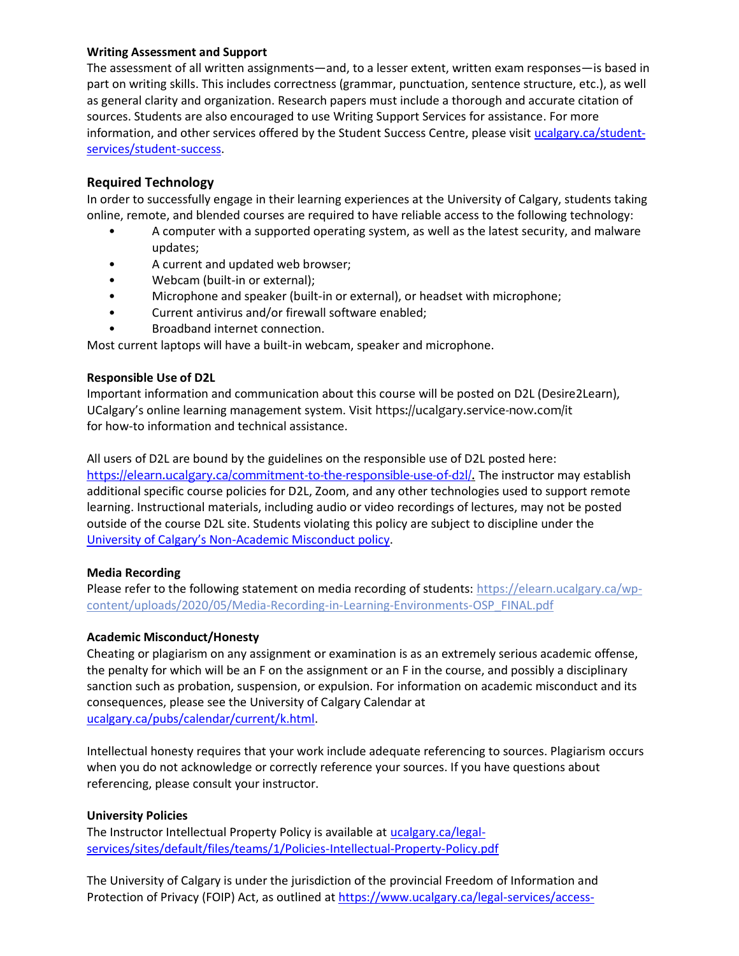# **Writing Assessment and Support**

The assessment of all written assignments—and, to a lesser extent, written exam responses—is based in part on writing skills. This includes correctness (grammar, punctuation, sentence structure, etc.), as well as general clarity and organization. Research papers must include a thorough and accurate citation of sources. Students are also encouraged to use Writing Support Services for assistance. For more information, and other services offered by the Student Success Centre, please visi[t ucalgary.ca/student](https://ucalgary.ca/student-services/student-success)[services/student-success.](https://ucalgary.ca/student-services/student-success)

# **Required Technology**

In order to successfully engage in their learning experiences at the University of Calgary, students taking online, remote, and blended courses are required to have reliable access to the following technology:

- A computer with a supported operating system, as well as the latest security, and malware updates;
- A current and updated web browser;
- Webcam (built-in or external);
- Microphone and speaker (built-in or external), or headset with microphone;
- Current antivirus and/or firewall software enabled;
- Broadband internet connection.

Most current laptops will have a built-in webcam, speaker and microphone.

# **Responsible Use of D2L**

Important information and communication about this course will be posted on D2L (Desire2Learn), UCalgary's online learning management system. Visit https://ucalgary.service-now.com/it for how-to information and technical assistance.

All users of D2L are bound by the guidelines on the responsible use of D2L posted here: [https://elearn.ucalgary.ca/commitment-to-the-responsible-use-of-d2l/.](https://elearn.ucalgary.ca/commitment-to-the-responsible-use-of-d2l/) The instructor may establish additional specific course policies for D2L, Zoom, and any other technologies used to support remote learning. Instructional materials, including audio or video recordings of lectures, may not be posted outside of the course D2L site. Students violating this policy are subject to discipline under the University of Calgary's Non[-Academic Misconduct policy.](https://www.ucalgary.ca/legal-services/sites/default/files/teams/1/Policies-Student-Non-Academic-Misconduct-Policy.pdf)

# **Media Recording**

Please refer to the following statement on media recording of students: [https://elearn.ucalgary.ca/wp](https://elearn.ucalgary.ca/wp-content/uploads/2020/05/Media-Recording-in-Learning-Environments-OSP_FINAL.pdf)[content/uploads/2020/05/Media-Recording-in-Learning-Environments-OSP\\_FINAL.pdf](https://elearn.ucalgary.ca/wp-content/uploads/2020/05/Media-Recording-in-Learning-Environments-OSP_FINAL.pdf)

# **Academic Misconduct/Honesty**

Cheating or plagiarism on any assignment or examination is as an extremely serious academic offense, the penalty for which will be an F on the assignment or an F in the course, and possibly a disciplinary sanction such as probation, suspension, or expulsion. For information on academic misconduct and its consequences, please see the University of Calgary Calendar at [ucalgary.ca/pubs/calendar/current/k.html.](https://ucalgary.ca/pubs/calendar/current/k.html)

Intellectual honesty requires that your work include adequate referencing to sources. Plagiarism occurs when you do not acknowledge or correctly reference your sources. If you have questions about referencing, please consult your instructor.

# **University Policies**

The Instructor Intellectual Property Policy is available at [ucalgary.ca/legal](https://www.ucalgary.ca/legal-services/sites/default/files/teams/1/Policies-Intellectual-Property-Policy.pdf)[services/sites/default/files/teams/1/Policies-Intellectual-Property-Policy.pdf](https://www.ucalgary.ca/legal-services/sites/default/files/teams/1/Policies-Intellectual-Property-Policy.pdf)

The University of Calgary is under the jurisdiction of the provincial Freedom of Information and Protection of Privacy (FOIP) Act, as outlined a[t https://www.ucalgary.ca/legal-services/access-](https://www.ucalgary.ca/legal-services/access-information-privacy)